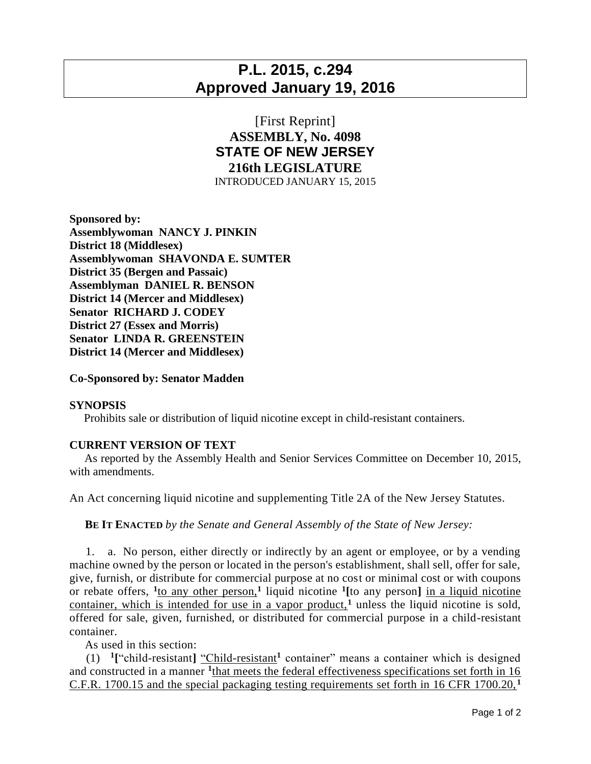# **P.L. 2015, c.294 Approved January 19, 2016**

## [First Reprint] **ASSEMBLY, No. 4098 STATE OF NEW JERSEY 216th LEGISLATURE** INTRODUCED JANUARY 15, 2015

**Sponsored by: Assemblywoman NANCY J. PINKIN District 18 (Middlesex) Assemblywoman SHAVONDA E. SUMTER District 35 (Bergen and Passaic) Assemblyman DANIEL R. BENSON District 14 (Mercer and Middlesex) Senator RICHARD J. CODEY District 27 (Essex and Morris) Senator LINDA R. GREENSTEIN District 14 (Mercer and Middlesex)**

### **Co-Sponsored by: Senator Madden**

#### **SYNOPSIS**

Prohibits sale or distribution of liquid nicotine except in child-resistant containers.

### **CURRENT VERSION OF TEXT**

 As reported by the Assembly Health and Senior Services Committee on December 10, 2015, with amendments.

An Act concerning liquid nicotine and supplementing Title 2A of the New Jersey Statutes.

**BE IT ENACTED** *by the Senate and General Assembly of the State of New Jersey:*

 1. a. No person, either directly or indirectly by an agent or employee, or by a vending machine owned by the person or located in the person's establishment, shall sell, offer for sale, give, furnish, or distribute for commercial purpose at no cost or minimal cost or with coupons or rebate offers, **<sup>1</sup>** to any other person,**<sup>1</sup>** liquid nicotine **<sup>1</sup> [**to any person**]** in a liquid nicotine container, which is intended for use in a vapor product,**<sup>1</sup>** unless the liquid nicotine is sold, offered for sale, given, furnished, or distributed for commercial purpose in a child-resistant container.

As used in this section:

 (1) **1 [**"child-resistant**]** "Child-resistant**<sup>1</sup>** container" means a container which is designed and constructed in a manner <sup>1</sup>that meets the federal effectiveness specifications set forth in 16 C.F.R. 1700.15 and the special packaging testing requirements set forth in 16 CFR 1700.20, **<sup>1</sup>**